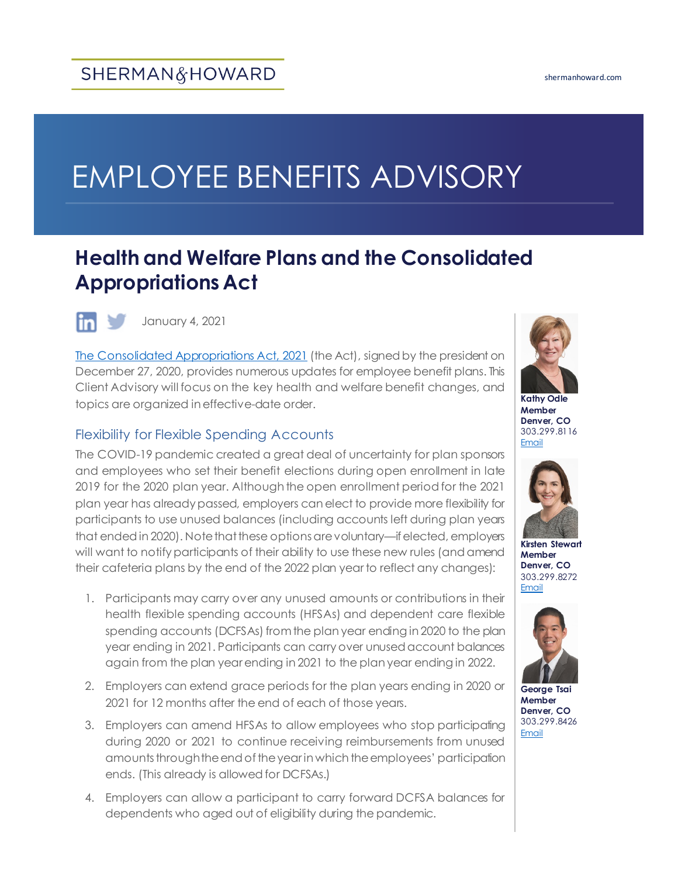# EMPLOYEE BENEFITS ADVISORY

# **Health and Welfare Plans and the Consolidated Appropriations Act**



January 4, 2021

[The Consolidated Appropriations Act, 2021](https://www.congress.gov/bill/116th-congress/house-bill/133) (the Act), signed by the president on December 27, 2020, provides numerous updates for employee benefit plans. This Client Advisory will focus on the key health and welfare benefit changes, and topics are organized in effective-date order.

#### Flexibility for Flexible Spending Accounts

The COVID-19 pandemic created a great deal of uncertainty for plan sponsors and employees who set their benefit elections during open enrollment in late 2019 for the 2020 plan year. Although the open enrollment period for the 2021 plan year has already passed, employers can elect to provide more flexibility for participants to use unused balances (including accounts left during plan years that ended in 2020). Note that these options are voluntary—if elected, employers will want to notify participants of their ability to use these new rules (and amend their cafeteria plans by the end of the 2022 plan year to reflect any changes):

- 1. Participants may carry over any unused amounts or contributions in their health flexible spending accounts (HFSAs) and dependent care flexible spending accounts (DCFSAs) from the plan year ending in 2020 to the plan year ending in 2021. Participants can carry over unused account balances again from the plan year ending in 2021 to the plan year ending in 2022.
- 2. Employers can extend grace periods for the plan years ending in 2020 or 2021 for 12 months after the end of each of those years.
- 3. Employers can amend HFSAs to allow employees who stop participating during 2020 or 2021 to continue receiving reimbursements from unused amounts through the end of the year in which the employees' participation ends. (This already is allowed for DCFSAs.)
- 4. Employers can allow a participant to carry forward DCFSA balances for dependents who aged out of eligibility during the pandemic.



**Kathy Odle Member Denver, CO** 303.299.8116 **[Email](mailto:kodle@shermanhoward.com)** 



**Kirsten Stewart Member Denver, CO** 303.299.8272 [Email](mailto:kstewart@shermanhoward.com)



**George Tsai Member Denver, CO** 303.299.8426 [Email](mailto:gtsai@shermanhoward.com)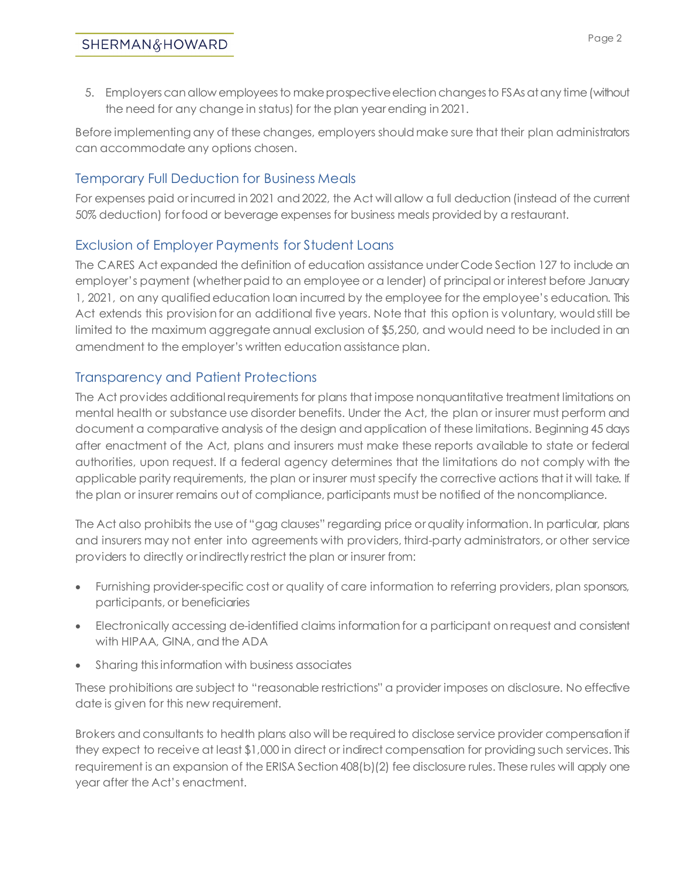5. Employers can allow employees to make prospective election changes to FSAs at any time (without the need for any change in status) for the plan year ending in 2021.

Before implementing any of these changes, employers should make sure that their plan administrators can accommodate any options chosen.

## Temporary Full Deduction for Business Meals

For expenses paid or incurred in 2021 and 2022, the Act will allow a full deduction (instead of the current 50% deduction) for food or beverage expenses for business meals provided by a restaurant.

#### Exclusion of Employer Payments for Student Loans

The CARES Act expanded the definition of education assistance under Code Section 127 to include an employer's payment (whether paid to an employee or a lender) of principal or interest before January 1, 2021, on any qualified education loan incurred by the employee for the employee's education. This Act extends this provision for an additional five years. Note that this option is voluntary, would still be limited to the maximum aggregate annual exclusion of \$5,250, and would need to be included in an amendment to the employer's written education assistance plan.

## Transparency and Patient Protections

The Act provides additional requirements for plans that impose nonquantitative treatment limitations on mental health or substance use disorder benefits. Under the Act, the plan or insurer must perform and document a comparative analysis of the design and application of these limitations. Beginning 45 days after enactment of the Act, plans and insurers must make these reports available to state or federal authorities, upon request. If a federal agency determines that the limitations do not comply with the applicable parity requirements, the plan or insurer must specify the corrective actions that it will take. If the plan or insurer remains out of compliance, participants must be notified of the noncompliance.

The Act also prohibits the use of "gag clauses" regarding price or quality information. In particular, plans and insurers may not enter into agreements with providers, third-party administrators, or other service providers to directly or indirectly restrict the plan or insurer from:

- Furnishing provider-specific cost or quality of care information to referring providers, plan sponsors, participants, or beneficiaries
- Electronically accessing de-identified claims information for a participant on request and consistent with HIPAA, GINA, and the ADA
- Sharing this information with business associates

These prohibitions are subject to "reasonable restrictions" a provider imposes on disclosure. No effective date is given for this new requirement.

Brokers and consultants to health plans also will be required to disclose service provider compensation if they expect to receive at least \$1,000 in direct or indirect compensation for providing such services. This requirement is an expansion of the ERISA Section 408(b)(2) fee disclosure rules. These rules will apply one year after the Act's enactment.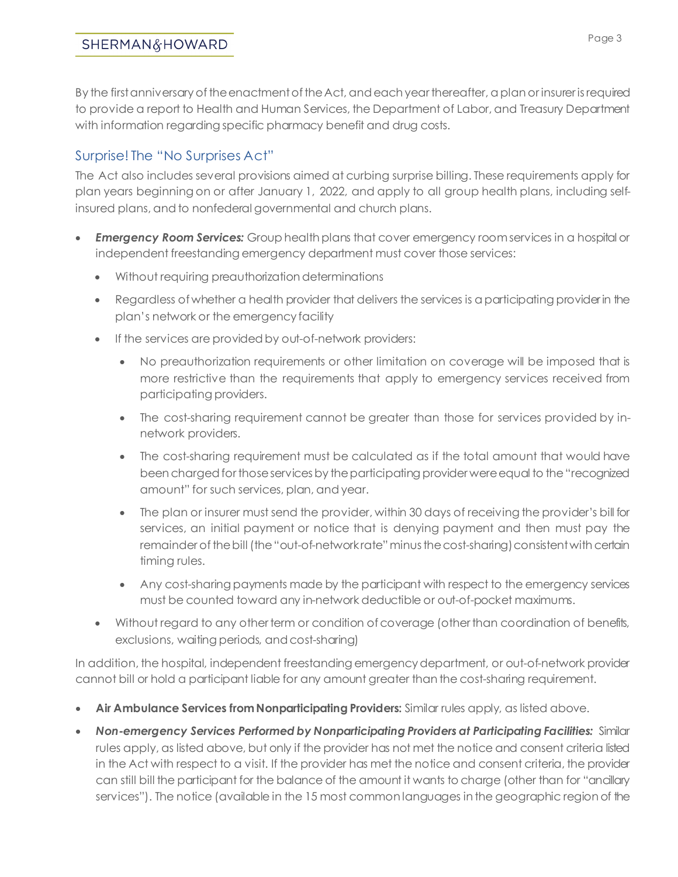#### SHERMAN&HOWARD

By the first anniversary of the enactment of the Act, and each year thereafter, a plan or insurer is required to provide a report to Health and Human Services, the Department of Labor, and Treasury Department with information regarding specific pharmacy benefit and drug costs.

# Surprise! The "No Surprises Act"

The Act also includes several provisions aimed at curbing surprise billing. These requirements apply for plan years beginning on or after January 1, 2022, and apply to all group health plans, including selfinsured plans, and to nonfederal governmental and church plans.

- *Emergency Room Services:* Group health plans that cover emergency room services in a hospital or independent freestanding emergency department must cover those services:
	- Without requiring preauthorization determinations
	- Regardless of whether a health provider that delivers the services is a participating provider in the plan's network or the emergency facility
	- If the services are provided by out-of-network providers:
		- No preauthorization requirements or other limitation on coverage will be imposed that is more restrictive than the requirements that apply to emergency services received from participating providers.
		- The cost-sharing requirement cannot be greater than those for services provided by innetwork providers.
		- The cost-sharing requirement must be calculated as if the total amount that would have been charged for those services by the participating provider were equal to the "recognized amount" for such services, plan, and year.
		- The plan or insurer must send the provider, within 30 days of receiving the provider's bill for services, an initial payment or notice that is denying payment and then must pay the remainder of the bill (the "out-of-network rate" minus the cost-sharing) consistent with certain timing rules.
		- Any cost-sharing payments made by the participant with respect to the emergency services must be counted toward any in-network deductible or out-of-pocket maximums.
	- Without regard to any other term or condition of coverage (other than coordination of benefits, exclusions, waiting periods, and cost-sharing)

In addition, the hospital, independent freestanding emergency department, or out-of-network provider cannot bill or hold a participant liable for any amount greater than the cost-sharing requirement.

- **Air Ambulance Services from Nonparticipating Providers:** Similar rules apply, as listed above.
- *Non-emergency Services Performed by Nonparticipating Providers at Participating Facilities:* Similar rules apply, as listed above, but only if the provider has not met the notice and consent criteria listed in the Act with respect to a visit. If the provider has met the notice and consent criteria, the provider can still bill the participant for the balance of the amount it wants to charge (other than for "ancillary services"). The notice (available in the 15 most common languages in the geographic region of the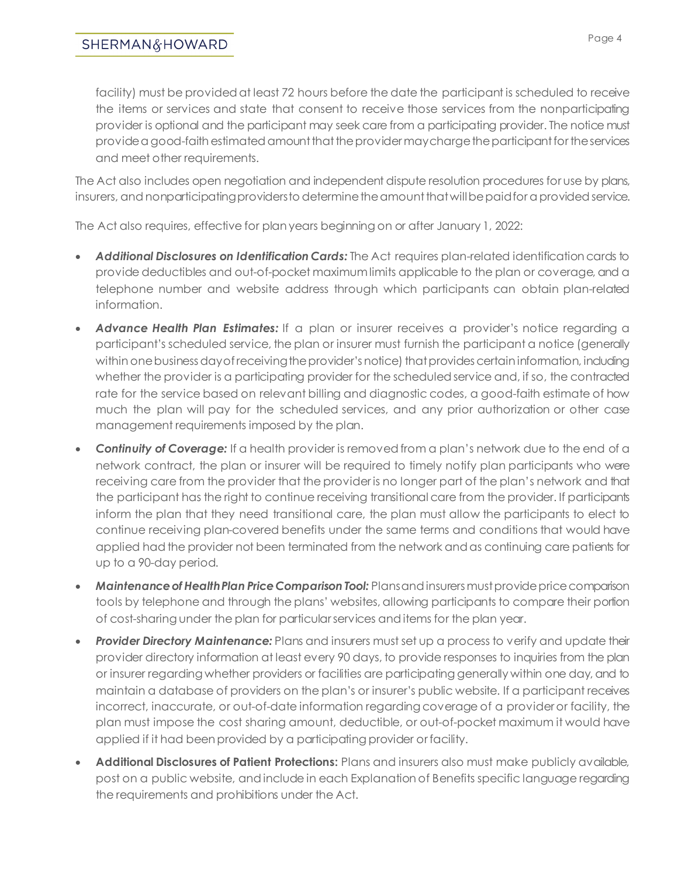#### SHERMAN&HOWARD

facility) must be provided at least 72 hours before the date the participant is scheduled to receive the items or services and state that consent to receive those services from the nonparticipating provider is optional and the participant may seek care from a participating provider. The notice must provide a good-faithestimated amount that the provider may charge the participant for the services and meet other requirements.

The Act also includes open negotiation and independent dispute resolution procedures for use by plans, insurers, and nonparticipating providers to determine the amount that will be paid for a provided service.

The Act also requires, effective for plan years beginning on or after January 1, 2022:

- *Additional Disclosures on Identification Cards:* The Act requires plan-related identification cards to provide deductibles and out-of-pocket maximum limits applicable to the plan or coverage, and a telephone number and website address through which participants can obtain plan-related information.
- Advance Health Plan Estimates: If a plan or insurer receives a provider's notice regarding a participant's scheduled service, the plan or insurer must furnish the participant a notice (generally within one business day of receiving the provider's notice) that provides certain information, including whether the provider is a participating provider for the scheduled service and, if so, the contracted rate for the service based on relevant billing and diagnostic codes, a good-faith estimate of how much the plan will pay for the scheduled services, and any prior authorization or other case management requirements imposed by the plan.
- *Continuity of Coverage:* If a health provider is removed from a plan's network due to the end of a network contract, the plan or insurer will be required to timely notify plan participants who were receiving care from the provider that the provider is no longer part of the plan's network and that the participant has the right to continue receiving transitional care from the provider. If participants inform the plan that they need transitional care, the plan must allow the participants to elect to continue receiving plan-covered benefits under the same terms and conditions that would have applied had the provider not been terminated from the network and as continuing care patients for up to a 90-day period.
- *Maintenance of Health Plan Price Comparison Tool:* Plans and insurers must provide price comparison tools by telephone and through the plans' websites, allowing participants to compare their portion of cost-sharing under the plan for particular services and items for the plan year.
- *Provider Directory Maintenance:* Plans and insurers must set up a process to verify and update their provider directory information at least every 90 days, to provide responses to inquiries from the plan or insurer regarding whether providers or facilities are participating generally within one day, and to maintain a database of providers on the plan's or insurer's public website. If a participant receives incorrect, inaccurate, or out-of-date information regarding coverage of a provider or facility, the plan must impose the cost sharing amount, deductible, or out-of-pocket maximum it would have applied if it had been provided by a participating provider or facility.
- **Additional Disclosures of Patient Protections:** Plans and insurers also must make publicly available, post on a public website, and include in each Explanation of Benefits specific language regarding the requirements and prohibitions under the Act.